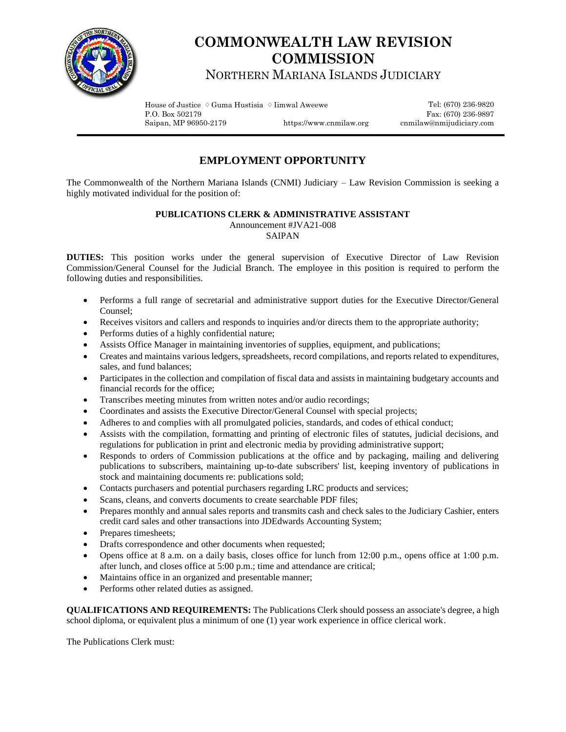

## **COMMONWEALTH LAW REVISION COMMISSION**

NORTHERN MARIANA ISLANDS JUDICIARY

House of Justice  $\Diamond$  Guma Hustisia  $\Diamond$  Iimwal Aweewe Tel: (670) 236-9820 P.O. Box 502179 Fax: (670) 236-9897<br>Saipan, MP 96950-2179 https://www.cnmilaw.org cnmilaw@nmijudiciary.com

https://www.cnmilaw.org cnmilaw@nmijudiciary.com

## **EMPLOYMENT OPPORTUNITY**

The Commonwealth of the Northern Mariana Islands (CNMI) Judiciary – Law Revision Commission is seeking a highly motivated individual for the position of:

## **PUBLICATIONS CLERK & ADMINISTRATIVE ASSISTANT**

Announcement #JVA21-008

## SAIPAN

**DUTIES:** This position works under the general supervision of Executive Director of Law Revision Commission/General Counsel for the Judicial Branch. The employee in this position is required to perform the following duties and responsibilities.

- Performs a full range of secretarial and administrative support duties for the Executive Director/General Counsel;
- Receives visitors and callers and responds to inquiries and/or directs them to the appropriate authority;
- Performs duties of a highly confidential nature;
- Assists Office Manager in maintaining inventories of supplies, equipment, and publications;
- Creates and maintains various ledgers, spreadsheets, record compilations, and reports related to expenditures, sales, and fund balances;
- Participates in the collection and compilation of fiscal data and assists in maintaining budgetary accounts and financial records for the office;
- Transcribes meeting minutes from written notes and/or audio recordings;
- Coordinates and assists the Executive Director/General Counsel with special projects;
- Adheres to and complies with all promulgated policies, standards, and codes of ethical conduct;
- Assists with the compilation, formatting and printing of electronic files of statutes, judicial decisions, and regulations for publication in print and electronic media by providing administrative support;
- Responds to orders of Commission publications at the office and by packaging, mailing and delivering publications to subscribers, maintaining up-to-date subscribers' list, keeping inventory of publications in stock and maintaining documents re: publications sold;
- Contacts purchasers and potential purchasers regarding LRC products and services;
- Scans, cleans, and converts documents to create searchable PDF files;
- Prepares monthly and annual sales reports and transmits cash and check sales to the Judiciary Cashier, enters credit card sales and other transactions into JDEdwards Accounting System;
- Prepares timesheets;
- Drafts correspondence and other documents when requested;
- Opens office at 8 a.m. on a daily basis, closes office for lunch from 12:00 p.m., opens office at 1:00 p.m. after lunch, and closes office at 5:00 p.m.; time and attendance are critical;
- Maintains office in an organized and presentable manner;
- Performs other related duties as assigned.

**QUALIFICATIONS AND REQUIREMENTS:** The Publications Clerk should possess an associate's degree, a high school diploma, or equivalent plus a minimum of one (1) year work experience in office clerical work.

The Publications Clerk must: